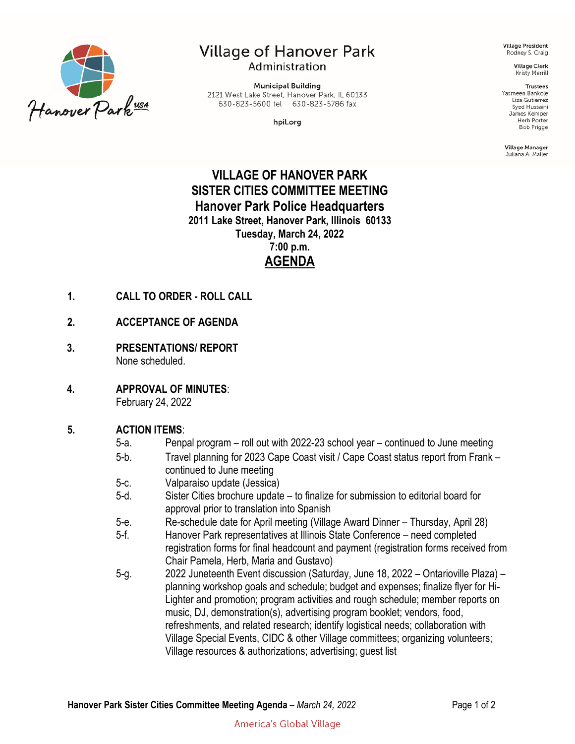

# Village of Hanover Park Administration

**Municipal Building** 2121 West Lake Street, Hanover Park, IL 60133 630-823-5600 tel 630-823-5786 fax

hpil.org

**Village President** Rodney S. Craig

> **Village Clerk** Kristy Merrill

#### **Trustees**

Yasmeen Bankole Liza Gutierrez Syed Hussaini James Kemper Herb Porter **Bob Prigge** 

Village Manager Juliana A. Maller

# **VILLAGE OF HANOVER PARK SISTER CITIES COMMITTEE MEETING Hanover Park Police Headquarters 2011 Lake Street, Hanover Park, Illinois 60133 Tuesday, March 24, 2022 7:00 p.m. AGENDA**

- **1. CALL TO ORDER - ROLL CALL**
- **2. ACCEPTANCE OF AGENDA**
- **3. PRESENTATIONS/ REPORT** None scheduled.
- **4. APPROVAL OF MINUTES**: February 24, 2022

## **5. ACTION ITEMS**:

- 5-a. Penpal program roll out with 2022-23 school year continued to June meeting
- 5-b. Travel planning for 2023 Cape Coast visit / Cape Coast status report from Frank continued to June meeting
- 5-c. Valparaiso update (Jessica)
- 5-d. Sister Cities brochure update to finalize for submission to editorial board for approval prior to translation into Spanish
- 5-e. Re-schedule date for April meeting (Village Award Dinner Thursday, April 28)
- 5-f. Hanover Park representatives at Illinois State Conference need completed registration forms for final headcount and payment (registration forms received from Chair Pamela, Herb, Maria and Gustavo)
- 5-g. 2022 Juneteenth Event discussion (Saturday, June 18, 2022 Ontarioville Plaza) planning workshop goals and schedule; budget and expenses; finalize flyer for Hi-Lighter and promotion; program activities and rough schedule; member reports on music, DJ, demonstration(s), advertising program booklet; vendors, food, refreshments, and related research; identify logistical needs; collaboration with Village Special Events, CIDC & other Village committees; organizing volunteers; Village resources & authorizations; advertising; guest list